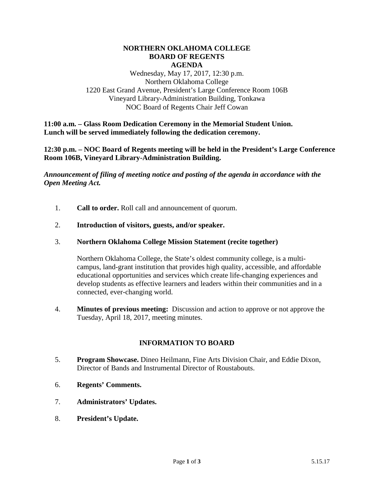#### **NORTHERN OKLAHOMA COLLEGE BOARD OF REGENTS AGENDA**

Wednesday, May 17, 2017, 12:30 p.m. Northern Oklahoma College 1220 East Grand Avenue, President's Large Conference Room 106B Vineyard Library-Administration Building, Tonkawa NOC Board of Regents Chair Jeff Cowan

**11:00 a.m. – Glass Room Dedication Ceremony in the Memorial Student Union. Lunch will be served immediately following the dedication ceremony.**

**12:30 p.m. – NOC Board of Regents meeting will be held in the President's Large Conference Room 106B, Vineyard Library-Administration Building.**

*Announcement of filing of meeting notice and posting of the agenda in accordance with the Open Meeting Act.*

- 1. **Call to order.** Roll call and announcement of quorum.
- 2. **Introduction of visitors, guests, and/or speaker.**
- 3. **Northern Oklahoma College Mission Statement (recite together)**

Northern Oklahoma College, the State's oldest community college, is a multicampus, land-grant institution that provides high quality, accessible, and affordable educational opportunities and services which create life-changing experiences and develop students as effective learners and leaders within their communities and in a connected, ever-changing world.

4. **Minutes of previous meeting:** Discussion and action to approve or not approve the Tuesday, April 18, 2017, meeting minutes.

### **INFORMATION TO BOARD**

- 5. **Program Showcase.** Dineo Heilmann, Fine Arts Division Chair, and Eddie Dixon, Director of Bands and Instrumental Director of Roustabouts.
- 6. **Regents' Comments.**
- 7. **Administrators' Updates.**
- 8. **President's Update.**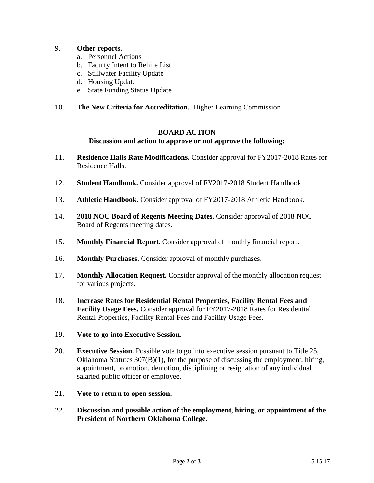# 9. **Other reports.**

- a. Personnel Actions
- b. Faculty Intent to Rehire List
- c. Stillwater Facility Update
- d. Housing Update
- e. State Funding Status Update

## 10. **The New Criteria for Accreditation.** Higher Learning Commission

#### **BOARD ACTION**

## **Discussion and action to approve or not approve the following:**

- 11. **Residence Halls Rate Modifications.** Consider approval for FY2017-2018 Rates for Residence Halls.
- 12. **Student Handbook.** Consider approval of FY2017-2018 Student Handbook.
- 13. **Athletic Handbook.** Consider approval of FY2017-2018 Athletic Handbook.
- 14. **2018 NOC Board of Regents Meeting Dates.** Consider approval of 2018 NOC Board of Regents meeting dates.
- 15. **Monthly Financial Report.** Consider approval of monthly financial report.
- 16. **Monthly Purchases.** Consider approval of monthly purchases.
- 17. **Monthly Allocation Request.** Consider approval of the monthly allocation request for various projects.
- 18. **Increase Rates for Residential Rental Properties, Facility Rental Fees and Facility Usage Fees.** Consider approval for FY2017-2018 Rates for Residential Rental Properties, Facility Rental Fees and Facility Usage Fees.
- 19. **Vote to go into Executive Session.**
- 20. **Executive Session.** Possible vote to go into executive session pursuant to Title 25, Oklahoma Statutes  $307(B)(1)$ , for the purpose of discussing the employment, hiring, appointment, promotion, demotion, disciplining or resignation of any individual salaried public officer or employee.
- 21. **Vote to return to open session.**
- 22. **Discussion and possible action of the employment, hiring, or appointment of the President of Northern Oklahoma College.**